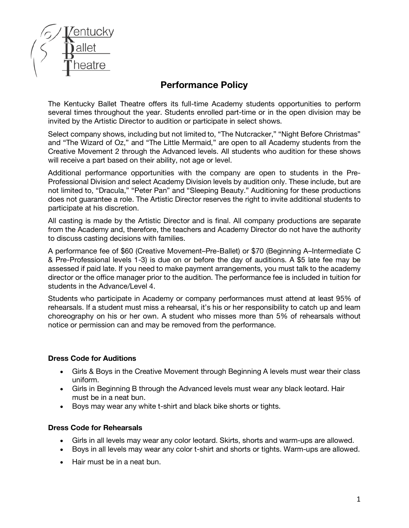

# **Performance Policy**

The Kentucky Ballet Theatre offers its full-time Academy students opportunities to perform several times throughout the year. Students enrolled part-time or in the open division may be invited by the Artistic Director to audition or participate in select shows.

Select company shows, including but not limited to, "The Nutcracker," "Night Before Christmas" and "The Wizard of Oz," and "The Little Mermaid," are open to all Academy students from the Creative Movement 2 through the Advanced levels. All students who audition for these shows will receive a part based on their ability, not age or level.

Additional performance opportunities with the company are open to students in the Pre-Professional Division and select Academy Division levels by audition only. These include, but are not limited to, "Dracula," "Peter Pan" and "Sleeping Beauty." Auditioning for these productions does not guarantee a role. The Artistic Director reserves the right to invite additional students to participate at his discretion.

All casting is made by the Artistic Director and is final. All company productions are separate from the Academy and, therefore, the teachers and Academy Director do not have the authority to discuss casting decisions with families.

A performance fee of \$60 (Creative Movement–Pre-Ballet) or \$70 (Beginning A–Intermediate C & Pre-Professional levels 1-3) is due on or before the day of auditions. A \$5 late fee may be assessed if paid late. If you need to make payment arrangements, you must talk to the academy director or the office manager prior to the audition. The performance fee is included in tuition for students in the Advance/Level 4.

Students who participate in Academy or company performances must attend at least 95% of rehearsals. If a student must miss a rehearsal, it's his or her responsibility to catch up and learn choreography on his or her own. A student who misses more than 5% of rehearsals without notice or permission can and may be removed from the performance.

## **Dress Code for Auditions**

- Girls & Boys in the Creative Movement through Beginning A levels must wear their class uniform.
- Girls in Beginning B through the Advanced levels must wear any black leotard. Hair must be in a neat bun.
- Boys may wear any white t-shirt and black bike shorts or tights.

## **Dress Code for Rehearsals**

- Girls in all levels may wear any color leotard. Skirts, shorts and warm-ups are allowed.
- Boys in all levels may wear any color t-shirt and shorts or tights. Warm-ups are allowed.
- Hair must be in a neat bun.